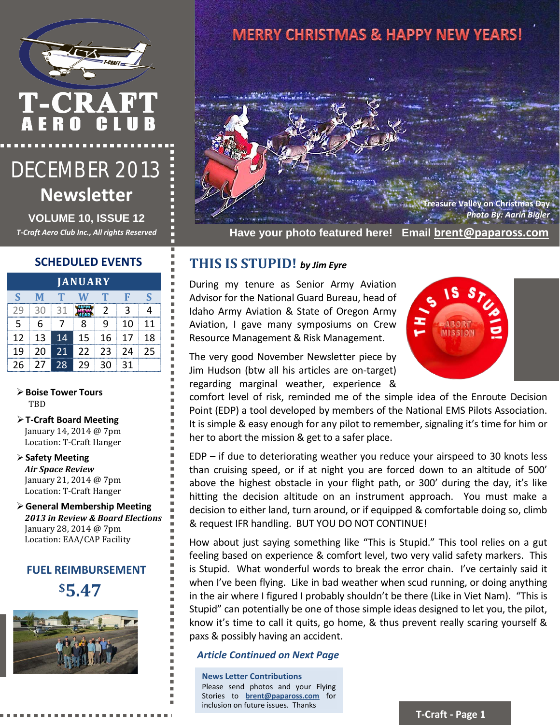

# T-CRAFT<br>AERO CLUE

## DECEMBER 2013 **Newsletter**

**VOLUME 10, ISSUE 12**

#### **SCHEDULED EVENTS**

| <b>JANUARY</b> |    |    |    |                |    |    |
|----------------|----|----|----|----------------|----|----|
| S              |    |    |    |                |    | ς  |
| 79             | 30 | 31 |    | $\mathfrak{p}$ | 3  |    |
| 5              | 6  |    | 8  | ٩              | 10 | 11 |
| 12             | 13 | 14 | 15 | 16             | 17 | 18 |
| 19             | 20 | 21 | 22 | 23             | 24 | 25 |
| 26             | 27 | 28 | 29 | 30             | 31 |    |

**Boise Tower Tours** TBD

- **T-Craft Board Meeting** January 14, 2014 @ 7pm Location: T-Craft Hanger
- **Safety Meeting** *Air Space Review* January 21, 2014 @ 7pm Location: T-Craft Hanger
- **General Membership Meeting** *2013 in Review & Board Elections* January 28, 2014 @ 7pm Location: EAA/CAP Facility

#### **FUEL REIMBURSEMENT**

**\$5.47**



### **MERRY CHRISTMAS & HAPPY NEW YEARS!**



*T-Craft Aero Club Inc., All rights Reserved* **Have your photo featured here! Email [brent@papaross.com](mailto:brent@papaross.com)**

#### **THIS IS STUPID!** *by Jim Eyre*

During my tenure as Senior Army Aviation Advisor for the National Guard Bureau, head of Idaho Army Aviation & State of Oregon Army Aviation, I gave many symposiums on Crew Resource Management & Risk Management.



The very good November Newsletter piece by Jim Hudson (btw all his articles are on-target) regarding marginal weather, experience &

comfort level of risk, reminded me of the simple idea of the Enroute Decision Point (EDP) a tool developed by members of the National EMS Pilots Association. It is simple & easy enough for any pilot to remember, signaling it's time for him or her to abort the mission & get to a safer place.

EDP – if due to deteriorating weather you reduce your airspeed to 30 knots less than cruising speed, or if at night you are forced down to an altitude of 500' above the highest obstacle in your flight path, or 300' during the day, it's like hitting the decision altitude on an instrument approach. You must make a decision to either land, turn around, or if equipped & comfortable doing so, climb & request IFR handling. BUT YOU DO NOT CONTINUE!

How about just saying something like "This is Stupid." This tool relies on a gut feeling based on experience & comfort level, two very valid safety markers. This is Stupid. What wonderful words to break the error chain. I've certainly said it when I've been flying. Like in bad weather when scud running, or doing anything in the air where I figured I probably shouldn't be there (Like in Viet Nam). "This is Stupid" can potentially be one of those simple ideas designed to let you, the pilot, know it's time to call it quits, go home, & thus prevent really scaring yourself & paxs & possibly having an accident.

#### *Article Continued on Next Page*

**News Letter Contributions** Please send photos and your Flying Stories to **[brent@papaross.com](mailto:brent@papaross.com)** for inclusion on future issues. Thanks

**T-Craft - Page 1**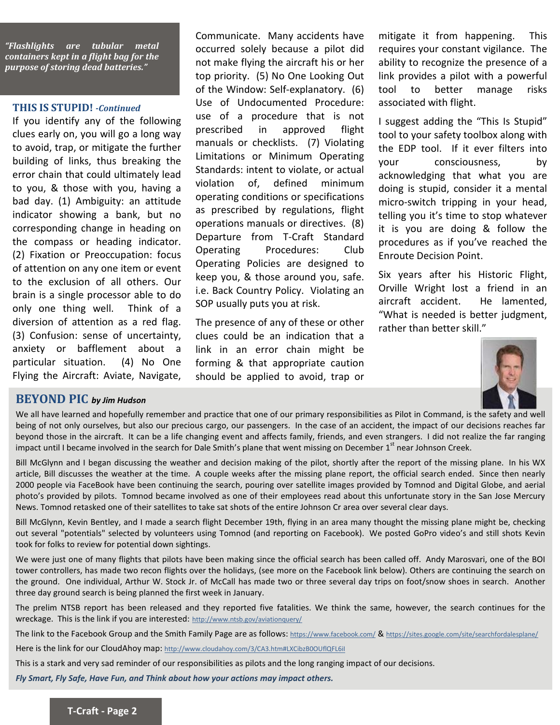

#### **THIS IS STUPID!** *-Continued*

If you identify any of the following clues early on, you will go a long way to avoid, trap, or mitigate the further building of links, thus breaking the error chain that could ultimately lead to you, & those with you, having a bad day. (1) Ambiguity: an attitude indicator showing a bank, but no corresponding change in heading on the compass or heading indicator. (2) Fixation or Preoccupation: focus of attention on any one item or event to the exclusion of all others. Our brain is a single processor able to do only one thing well. Think of a diversion of attention as a red flag. (3) Confusion: sense of uncertainty, anxiety or bafflement about a particular situation. (4) No One Flying the Aircraft: Aviate, Navigate,

Communicate. Many accidents have occurred solely because a pilot did not make flying the aircraft his or her top priority. (5) No One Looking Out of the Window: Self-explanatory. (6) Use of Undocumented Procedure: use of a procedure that is not prescribed in approved flight manuals or checklists. (7) Violating Limitations or Minimum Operating Standards: intent to violate, or actual violation of, defined minimum operating conditions or specifications as prescribed by regulations, flight operations manuals or directives. (8) Departure from T-Craft Standard Operating Procedures: Club Operating Policies are designed to keep you, & those around you, safe. i.e. Back Country Policy. Violating an SOP usually puts you at risk.

The presence of any of these or other clues could be an indication that a link in an error chain might be forming & that appropriate caution should be applied to avoid, trap or

mitigate it from happening. This requires your constant vigilance. The ability to recognize the presence of a link provides a pilot with a powerful tool to better manage risks associated with flight.

I suggest adding the "This Is Stupid" tool to your safety toolbox along with the EDP tool. If it ever filters into your consciousness, by acknowledging that what you are doing is stupid, consider it a mental micro-switch tripping in your head, telling you it's time to stop whatever it is you are doing & follow the procedures as if you've reached the Enroute Decision Point.

Six years after his Historic Flight, Orville Wright lost a friend in an aircraft accident. He lamented, "What is needed is better judgment, rather than better skill."



#### **BEYOND PIC** *by Jim Hudson*

We all have learned and hopefully remember and practice that one of our primary responsibilities as Pilot in Command, is the safety and well being of not only ourselves, but also our precious cargo, our passengers. In the case of an accident, the impact of our decisions reaches far beyond those in the aircraft. It can be a life changing event and affects family, friends, and even strangers. I did not realize the far ranging impact until I became involved in the search for Dale Smith's plane that went missing on December 1<sup>st</sup> near Johnson Creek.

Bill McGlynn and I began discussing the weather and decision making of the pilot, shortly after the report of the missing plane. In his WX article, Bill discusses the weather at the time. A couple weeks after the missing plane report, the official search ended. Since then nearly 2000 people via FaceBook have been continuing the search, pouring over satellite images provided by Tomnod and Digital Globe, and aerial photo's provided by pilots. Tomnod became involved as one of their employees read about this unfortunate story in the San Jose Mercury News. Tomnod retasked one of their satellites to take sat shots of the entire Johnson Cr area over several clear days.

Bill McGlynn, Kevin Bentley, and I made a search flight December 19th, flying in an area many thought the missing plane might be, checking out several "potentials" selected by volunteers using Tomnod (and reporting on Facebook). We posted GoPro video's and still shots Kevin took for folks to review for potential down sightings.

We were just one of many flights that pilots have been making since the official search has been called off. Andy Marosvari, one of the BOI tower controllers, has made two recon flights over the holidays, (see more on the Facebook link below). Others are continuing the search on the ground. One individual, Arthur W. Stock Jr. of McCall has made two or three several day trips on foot/snow shoes in search. Another three day ground search is being planned the first week in January.

The prelim NTSB report has been released and they reported five fatalities. We think the same, however, the search continues for the wreckage. This is the link if you are interested: [http://www.ntsb.gov/aviationquery/](http://www.ntsb.gov/aviationquery/brief.aspx?ev_id=20131216X13812&key=1)

The link to the Facebook Group and the Smith Family Page are as follows: [https://www.facebook.com/](https://www.facebook.com/groups/TomnodSmithPlaneSearch/) & <https://sites.google.com/site/searchfordalesplane/>

Here is the link for our CloudAhoy map: http://www.cloudahoy.com/3/CA3.htm#LXCibzB0OUflQFL6il

This is a stark and very sad reminder of our responsibilities as pilots and the long ranging impact of our decisions.

*Fly Smart, Fly Safe, Have Fun, and Think about how your actions may impact others.*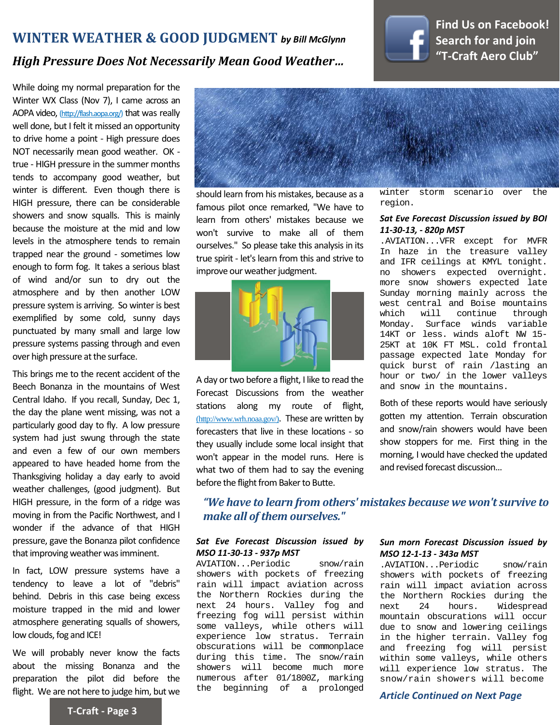#### **WINTER WEATHER & GOOD JUDGMENT** *by Bill McGlynn*



#### **[Find Us on Facebook!](https://www.facebook.com/groups/164768522373/) [Search for and join](https://www.facebook.com/groups/164768522373/) ["T-Craft Aero Club"](https://www.facebook.com/groups/164768522373/)**

#### *High Pressure Does Not Necessarily Mean Good Weather…*

to drive nome a point - riigh pressure does<br>NOT necessarily mean good weather. OK -**Newsletter** tends to accompany good weather, but **VINCE 15 anterent.** Even along there is While doing my normal preparation for the Winter WX Class (Nov 7), I came across an AOPA video, [\(http://flash.aopa.org/\)](http://flash.aopa.org/) that was really well done, but I felt it missed an opportunity to drive home a point - High pressure does true - HIGH pressure in the summer months winter is different. Even though there is showers and snow squalls. This is mainly because the moisture at the mid and low levels in the atmosphere tends to remain trapped near the ground - sometimes low enough to form fog. It takes a serious blast of wind and/or sun to dry out the atmosphere and by then another LOW pressure system is arriving. So winter is best exemplified by some cold, sunny days punctuated by many small and large low pressure systems passing through and even over high pressure at the surface.

This brings me to the recent accident of the Beech Bonanza in the mountains of West Central Idaho. If you recall, Sunday, Dec 1, the day the plane went missing, was not a particularly good day to fly. A low pressure system had just swung through the state and even a few of our own members appeared to have headed home from the Thanksgiving holiday a day early to avoid weather challenges, (good judgment). But HIGH pressure, in the form of a ridge was moving in from the Pacific Northwest, and I wonder if the advance of that HIGH pressure, gave the Bonanza pilot confidence that improving weather was imminent.

In fact, LOW pressure systems have a tendency to leave a lot of "debris" behind. Debris in this case being excess moisture trapped in the mid and lower atmosphere generating squalls of showers, low clouds, fog and ICE!

We will probably never know the facts about the missing Bonanza and the preparation the pilot did before the flight. We are not here to judge him, but we



*T-Craft Aressure, there can be considerable* famous pilot once remarked, "We have to stragedon.<br>howers and coow squalls. This is mainly should learn from his mistakes, because as a learn from others' mistakes because we won't survive to make all of them ourselves." So please take this analysis in its true spirit - let's learn from this and strive to improve our weather judgment.



A day or two before a flight, I like to read the Forecast Discussions from the weather stations along my route of flight, [\(http://www.wrh.noaa.gov/\)](http://www.wrh.noaa.gov/zoa/cwa.php). These are written by forecasters that live in these locations - so they usually include some local insight that won't appear in the model runs. Here is what two of them had to say the evening before the flight from Baker to Butte.

winter storm scenario over the region.

#### *Sat Eve Forecast Discussion issued by BOI 11-30-13, - 820p MST*

.AVIATION...VFR except for MVFR In haze in the treasure valley and IFR ceilings at KMYL tonight. no showers expected overnight. more snow showers expected late Sunday morning mainly across the west central and Boise mountains<br>which will continue through which will Monday. Surface winds variable 14KT or less. winds aloft NW 15- 25KT at 10K FT MSL. cold frontal passage expected late Monday for quick burst of rain /lasting an hour or two/ in the lower valleys and snow in the mountains.

Both of these reports would have seriously gotten my attention. Terrain obscuration and snow/rain showers would have been show stoppers for me. First thing in the morning, I would have checked the updated and revised forecast discussion...

*"We have to learn from others' mistakes because we won't survive to make all of them ourselves."*

#### *Sat Eve Forecast Discussion issued by MSO 11-30-13 - 937p MST*

AVIATION...Periodic snow/rain showers with pockets of freezing rain will impact aviation across the Northern Rockies during the next 24 hours. Valley fog and freezing fog will persist within some valleys, while others will experience low stratus. Terrain obscurations will be commonplace during this time. The snow/rain showers will become much more numerous after 01/1800Z, marking the beginning of a prolonged

#### *Sun morn Forecast Discussion issued by MSO 12-1-13 - 343a MST*

.AVIATION...Periodic snow/rain showers with pockets of freezing rain will impact aviation across the Northern Rockies during the<br>next 24 hours. Widespread Widespread mountain obscurations will occur due to snow and lowering ceilings in the higher terrain. Valley fog and freezing fog will persist within some valleys, while others will experience low stratus. The snow/rain showers will become

*Article Continued on Next Page*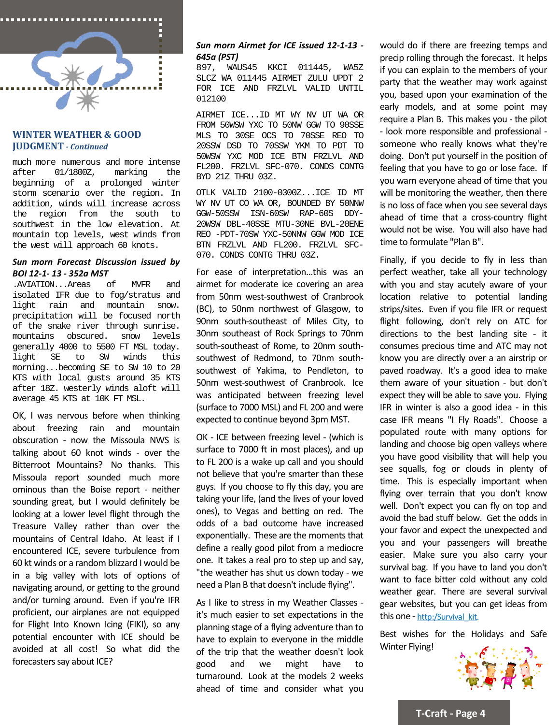

#### **WINTER WEATHER & GOOD JUDGMENT** *- Continued*

much more numerous and more intense after 01/1800Z, marking the beginning of a prolonged winter storm scenario over the region. In addition, winds will increase across<br>the region from the south to the region from the southwest in the low elevation. At mountain top levels, west winds from the west will approach 60 knots.

#### *Sun morn Forecast Discussion issued by BOI 12-1- 13 - 352a MST*

.AVIATION...Areas of MVFR and isolated IFR due to fog/stratus and rain and mountain snow. precipitation will be focused north of the snake river through sunrise.<br>mountains obscured. snow levels mountains obscured. generally 4000 to 5500 FT MSL today.<br>light SE to SW winds this winds morning...becoming SE to SW 10 to 20 KTS with local gusts around 35 KTS after 18Z. westerly winds aloft will average 45 KTS at 10K FT MSL.

OK, I was nervous before when thinking about freezing rain and mountain obscuration - now the Missoula NWS is talking about 60 knot winds - over the Bitterroot Mountains? No thanks. This Missoula report sounded much more ominous than the Boise report - neither sounding great, but I would definitely be looking at a lower level flight through the Treasure Valley rather than over the mountains of Central Idaho. At least if I encountered ICE, severe turbulence from 60 kt winds or a random blizzard I would be in a big valley with lots of options of navigating around, or getting to the ground and/or turning around. Even if you're IFR proficient, our airplanes are not equipped for Flight Into Known Icing (FIKI), so any potential encounter with ICE should be avoided at all cost! So what did the forecasters say about ICE?

#### *Sun morn Airmet for ICE issued 12-1-13 - 645a (PST)*

897, WAUS45 KKCI 011445, WA5Z SLCZ WA 011445 AIRMET ZULU UPDT 2 FOR ICE AND FRZLVL VALID UNTIL 012100

AIRMET ICE...ID MT WY NV UT WA OR FROM 50WSW YXC TO 50NW GGW TO 90SSE MLS TO 30SE OCS TO 70SSE REO TO 20SSW DSD TO 70SSW YKM TO PDT TO 50WSW YXC MOD ICE BTN FRZLVL AND FL200. FRZLVL SFC-070. CONDS CONTG BYD 21Z THRU 03Z.

OTLK VALID 2100-0300Z...ICE ID MT WY NV UT CO WA OR, BOUNDED BY 50NNW GGW-50SSW ISN-60SW RAP-60S DDY-20WSW DBL-40SSE MTU-30NE BVL-20ENE REO -PDT-70SW YXC-50NNW GGW MOD ICE BTN FRZLVL AND FL200. FRZLVL SFC-070. CONDS CONTG THRU 03Z.

For ease of interpretation...this was an airmet for moderate ice covering an area from 50nm west-southwest of Cranbrook (BC), to 50nm northwest of Glasgow, to 90nm south-southeast of Miles City, to 30nm southeast of Rock Springs to 70nm south-southeast of Rome, to 20nm southsouthwest of Redmond, to 70nm southsouthwest of Yakima, to Pendleton, to 50nm west-southwest of Cranbrook. Ice was anticipated between freezing level (surface to 7000 MSL) and FL 200 and were expected to continue beyond 3pm MST.

OK - ICE between freezing level - (which is surface to 7000 ft in most places), and up to FL 200 is a wake up call and you should not believe that you're smarter than these guys. If you choose to fly this day, you are taking your life, (and the lives of your loved ones), to Vegas and betting on red. The odds of a bad outcome have increased exponentially. These are the moments that define a really good pilot from a mediocre one. It takes a real pro to step up and say, "the weather has shut us down today - we need a Plan B that doesn't include flying".

As I like to stress in my Weather Classes it's much easier to set expectations in the planning stage of a flying adventure than to have to explain to everyone in the middle of the trip that the weather doesn't look good and we might have to turnaround. Look at the models 2 weeks ahead of time and consider what you

would do if there are freezing temps and precip rolling through the forecast. It helps if you can explain to the members of your party that the weather may work against you, based upon your examination of the early models, and at some point may require a Plan B. This makes you - the pilot - look more responsible and professional someone who really knows what they're doing. Don't put yourself in the position of feeling that you have to go or lose face. If you warn everyone ahead of time that you will be monitoring the weather, then there is no loss of face when you see several days ahead of time that a cross-country flight would not be wise. You will also have had time to formulate "Plan B".

Finally, if you decide to fly in less than perfect weather, take all your technology with you and stay acutely aware of your location relative to potential landing strips/sites. Even if you file IFR or request flight following, don't rely on ATC for directions to the best landing site - it consumes precious time and ATC may not know you are directly over a an airstrip or paved roadway. It's a good idea to make them aware of your situation - but don't expect they will be able to save you. Flying IFR in winter is also a good idea - in this case IFR means "I Fly Roads". Choose a populated route with many options for landing and choose big open valleys where you have good visibility that will help you see squalls, fog or clouds in plenty of time. This is especially important when flying over terrain that you don't know well. Don't expect you can fly on top and avoid the bad stuff below. Get the odds in your favor and expect the unexpected and you and your passengers will breathe easier. Make sure you also carry your survival bag. If you have to land you don't want to face bitter cold without any cold weather gear. There are several survival gear websites, but you can get ideas from this one - http:/Survival\_kit.

Best wishes for the Holidays and Safe Winter Flying!



**T-Craft - Page 4**